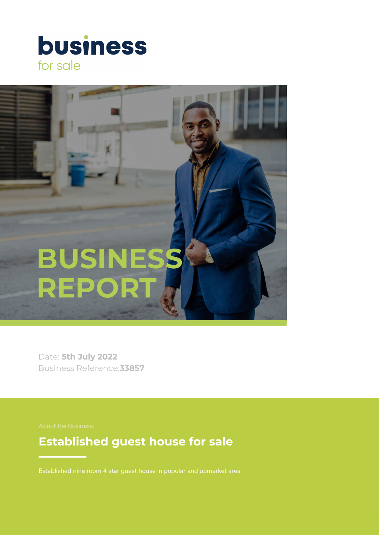



Date: **5th July 2022** Business Reference:**33857**

# **Established guest house for sale**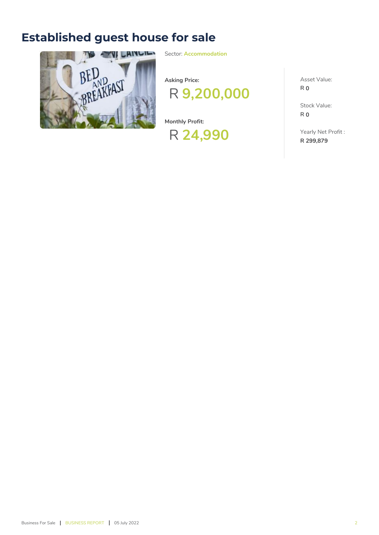# **Established guest house for sale**



Sector: **Accommodation**

**Asking Price:**



**Monthly Profit:**



Asset Value: **R 0**

Stock Value: **R 0**

Yearly Net Profit : **R 299,879**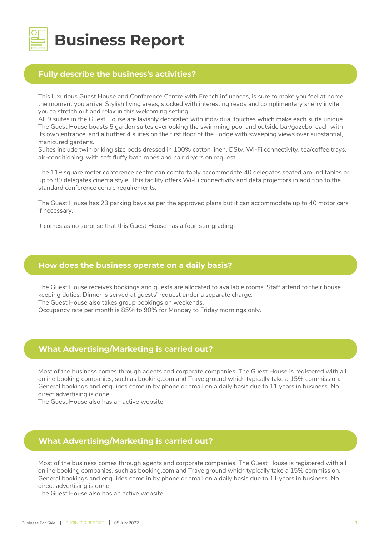

# **Business Report**

# **Fully describe the business's activities?**

This luxurious Guest House and Conference Centre with French influences, is sure to make you feel at home the moment you arrive. Stylish living areas, stocked with interesting reads and complimentary sherry invite you to stretch out and relax in this welcoming setting.

All 9 suites in the Guest House are lavishly decorated with individual touches which make each suite unique. The Guest House boasts 5 garden suites overlooking the swimming pool and outside bar/gazebo, each with its own entrance, and a further 4 suites on the first floor of the Lodge with sweeping views over substantial, manicured gardens.

Suites include twin or king size beds dressed in 100% cotton linen, DStv, Wi-Fi connectivity, tea/coffee trays, air-conditioning, with soft fluffy bath robes and hair dryers on request.

The 119 square meter conference centre can comfortably accommodate 40 delegates seated around tables or up to 80 delegates cinema style. This facility offers Wi-Fi connectivity and data projectors in addition to the standard conference centre requirements.

The Guest House has 23 parking bays as per the approved plans but it can accommodate up to 40 motor cars if necessary.

It comes as no surprise that this Guest House has a four-star grading.

#### **How does the business operate on a daily basis?**

The Guest House receives bookings and guests are allocated to available rooms. Staff attend to their house keeping duties. Dinner is served at guests' request under a separate charge.

The Guest House also takes group bookings on weekends.

Occupancy rate per month is 85% to 90% for Monday to Friday mornings only.

#### **What Advertising/Marketing is carried out?**

Most of the business comes through agents and corporate companies. The Guest House is registered with all online booking companies, such as booking.com and Travelground which typically take a 15% commission. General bookings and enquiries come in by phone or email on a daily basis due to 11 years in business. No direct advertising is done.

The Guest House also has an active website

# **What Advertising/Marketing is carried out?**

Most of the business comes through agents and corporate companies. The Guest House is registered with all online booking companies, such as booking.com and Travelground which typically take a 15% commission. General bookings and enquiries come in by phone or email on a daily basis due to 11 years in business. No direct advertising is done.

The Guest House also has an active website.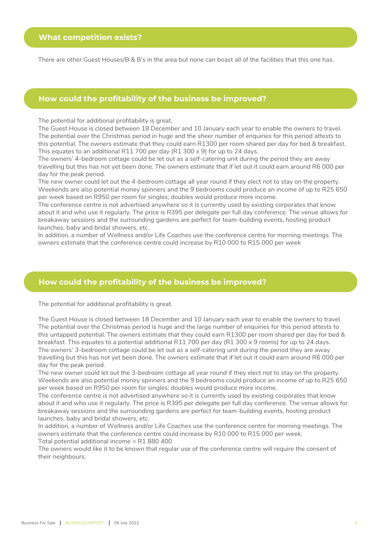There are other Guest Houses/B & B's in the area but none can boast all of the facilities that this one has.

#### **How could the profitability of the business be improved?**

The potential for additional profitability is great.

The Guest House is closed between 18 December and 10 January each year to enable the owners to travel. The potential over the Christmas period in huge and the sheer number of enquiries for this period attests to this potential. The owners estimate that they could earn R1300 per room shared per day for bed & breakfast. This equates to an additional R11 700 per day (R1 300 x 9) for up to 24 days.

The owners' 4-bedroom cottage could be let out as a self-catering unit during the period they are away travelling but this has not yet been done. The owners estimate that if let out it could earn around R6 000 per day for the peak period.

The new owner could let out the 4-bedroom cottage all year round if they elect not to stay on the property. Weekends are also potential money spinners and the 9 bedrooms could produce an income of up to R25 650 per week based on R950 per room for singles; doubles would produce more income.

The conference centre is not advertised anywhere so it is currently used by existing corporates that know about it and who use it regularly. The price is R395 per delegate per full day conference. The venue allows for breakaway sessions and the surrounding gardens are perfect for team-building events, hosting product launches, baby and bridal showers, etc.

In addition, a number of Wellness and/or Life Coaches use the conference centre for morning meetings. The owners estimate that the conference centre could increase by R10 000 to R15 000 per week

## **How could the profitability of the business be improved?**

The potential for additional profitability is great.

The Guest House is closed between 18 December and 10 January each year to enable the owners to travel. The potential over the Christmas period is huge and the large number of enquiries for this period attests to this untapped potential. The owners estimate that they could earn R1300 per room shared per day for bed & breakfast. This equates to a potential additional R11 700 per day (R1 300 x 9 rooms) for up to 24 days. The owners' 3-bedroom cottage could be let out as a self-catering unit during the period they are away travelling but this has not yet been done. The owners estimate that if let out it could earn around R6 000 per day for the peak period.

The new owner could let out the 3-bedroom cottage all year round if they elect not to stay on the property. Weekends are also potential money spinners and the 9 bedrooms could produce an income of up to R25 650 per week based on R950 per room for singles; doubles would produce more income.

The conference centre is not advertised anywhere so it is currently used by existing corporates that know about it and who use it regularly. The price is R395 per delegate per full day conference. The venue allows for breakaway sessions and the surrounding gardens are perfect for team-building events, hosting product launches, baby and bridal showers, etc.

In addition, a number of Wellness and/or Life Coaches use the conference centre for morning meetings. The owners estimate that the conference centre could increase by R10 000 to R15 000 per week. Total potential additional income = R1 880 400

The owners would like it to be known that regular use of the conference centre will require the consent of their neighbours.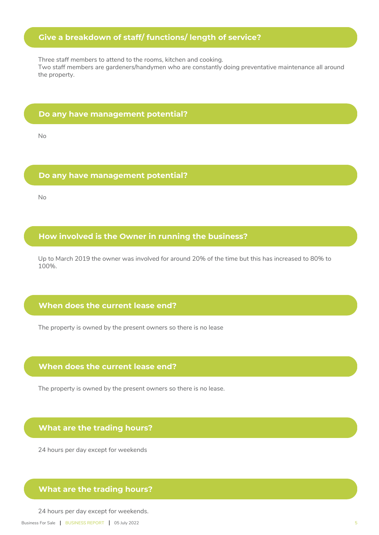# **Give a breakdown of staff/ functions/ length of service?**

Three staff members to attend to the rooms, kitchen and cooking. Two staff members are gardeners/handymen who are constantly doing preventative maintenance all around the property.

#### **Do any have management potential?**

No

#### **Do any have management potential?**

No

# **How involved is the Owner in running the business?**

Up to March 2019 the owner was involved for around 20% of the time but this has increased to 80% to 100%.

# **When does the current lease end?**

The property is owned by the present owners so there is no lease

## **When does the current lease end?**

The property is owned by the present owners so there is no lease.

#### **What are the trading hours?**

24 hours per day except for weekends

# **What are the trading hours?**

24 hours per day except for weekends.